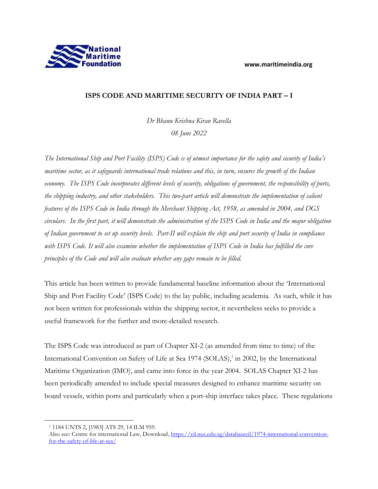

## **ISPS CODE AND MARITIME SECURITY OF INDIA PART – I**

*Dr Bhanu Krishna Kiran Ravella 08 June 2022*

*The International Ship and Port Facility (ISPS) Code is of utmost importance for the safety and security of India's maritime sector, as it safeguards international trade relations and this, in turn, ensures the growth of the Indian economy. The ISPS Code incorporates different levels of security, obligations of government, the responsibility of ports, the shipping industry, and other stakeholders. This two-part article will demonstrate the implementation of salient features of the ISPS Code in India through the Merchant Shipping Act, 1958, as amended in 2004, and DGS circulars. In the first part, it will demonstrate the administration of the ISPS Code in India and the major obligation of Indian government to set up security levels. Part-II will explain the ship and port security of India in compliance with ISPS Code. It will also examine whether the implementation of ISPS Code in India has fulfilled the core principles of the Code and will also evaluate whether any gaps remain to be filled.*

This article has been written to provide fundamental baseline information about the 'International Ship and Port Facility Code' (ISPS Code) to the lay public, including academia. As such, while it has not been written for professionals within the shipping sector, it nevertheless seeks to provide a useful framework for the further and more-detailed research.

The ISPS Code was introduced as part of Chapter XI-2 (as amended from time to time) of the International Convention on Safety of Life at Sea 1974 (SOLAS),<sup>1</sup> in 2002, by the International Maritime Organization (IMO), and came into force in the year 2004. SOLAS Chapter XI-2 has been periodically amended to include special measures designed to enhance maritime security on board vessels, within ports and particularly when a port-ship interface takes place. These regulations

<sup>1</sup> 1184 UNTS 2, [1983] ATS 29, 14 ILM 959.

Also see: Centre for international Law, Download, [https://cil.nus.edu.sg/databasecil/1974-international-convention](https://cil.nus.edu.sg/databasecil/1974-international-convention-for-the-safety-of-life-at-sea/)[for-the-safety-of-life-at-sea/](https://cil.nus.edu.sg/databasecil/1974-international-convention-for-the-safety-of-life-at-sea/)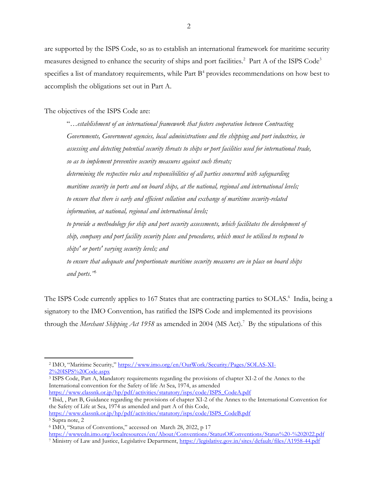are supported by the ISPS Code, so as to establish an international framework for maritime security measures designed to enhance the security of ships and port facilities.<sup>2</sup> Part A of the ISPS Code<sup>3</sup> specifies a list of mandatory requirements, while Part  $B<sup>4</sup>$  provides recommendations on how best to accomplish the obligations set out in Part A.

The objectives of the ISPS Code are:

"…*establishment of an international framework that fosters cooperation between Contracting Governments, Government agencies, local administrations and the shipping and port industries, in assessing and detecting potential security threats to ships or port facilities used for international trade, so as to implement preventive security measures against such threats;* 

*determining the respective roles and responsibilities of all parties concerned with safeguarding maritime security in ports and on board ships, at the national, regional and international levels; to ensure that there is early and efficient collation and exchange of maritime security-related information, at national, regional and international levels;* 

*to provide a methodology for ship and port security assessments, which facilitates the development of ship, company and port facility security plans and procedures, which must be utilised to respond to ships' or ports' varying security levels; and* 

*to ensure that adequate and proportionate maritime security measures are in place on board ships and ports*.*"* 5

The ISPS Code currently applies to 167 States that are contracting parties to SOLAS.<sup>6</sup> India, being a signatory to the IMO Convention, has ratified the ISPS Code and implemented its provisions through the *Merchant Shipping Act 1958* as amended in 2004 (MS Act).<sup>7</sup> By the stipulations of this

<sup>3</sup> ISPS Code, Part A, Mandatory requirements regarding the provisions of chapter XI-2 of the Annex to the International convention for the Safety of life At Sea, 1974, as amended [https://www.classnk.or.jp/hp/pdf/activities/statutory/isps/code/ISPS\\_CodeA.pdf](https://www.classnk.or.jp/hp/pdf/activities/statutory/isps/code/ISPS_CodeA.pdf)

<sup>4</sup> Ibid, , Part B, Guidance regarding the provisions of chapter XI-2 of the Annex to the International Convention for the Safety of Life at Sea, 1974 as amended and part A of this Code,

[https://www.classnk.or.jp/hp/pdf/activities/statutory/isps/code/ISPS\\_CodeB.pdf](https://www.classnk.or.jp/hp/pdf/activities/statutory/isps/code/ISPS_CodeB.pdf)

<sup>2</sup> IMO, "Maritime Security," [https://www.imo.org/en/OurWork/Security/Pages/SOLAS-XI-](https://www.imo.org/en/OurWork/Security/Pages/SOLAS-XI-2%20ISPS%20Code.aspx)[2%20ISPS%20Code.aspx](https://www.imo.org/en/OurWork/Security/Pages/SOLAS-XI-2%20ISPS%20Code.aspx)

<sup>5</sup> Supra note, 2

<sup>6</sup> IMO, "Status of Conventions," accessed on March 28, 2022, p 17 <https://wwwcdn.imo.org/localresources/en/About/Conventions/StatusOfConventions/Status%20-%202022.pdf>

<sup>7</sup> Ministry of Law and Justice, Legislative Department,<https://legislative.gov.in/sites/default/files/A1958-44.pdf>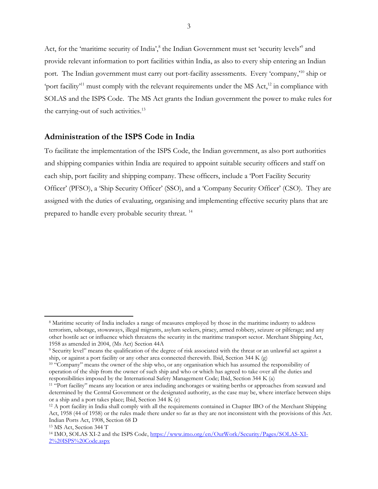Act, for the 'maritime security of India',<sup>8</sup> the Indian Government must set 'security levels'<sup>9</sup> and provide relevant information to port facilities within India, as also to every ship entering an Indian port. The Indian government must carry out port-facility assessments. Every 'company,<sup>10</sup> ship or 'port facility<sup>11</sup> must comply with the relevant requirements under the MS Act,<sup>12</sup> in compliance with SOLAS and the ISPS Code. The MS Act grants the Indian government the power to make rules for the carrying-out of such activities.<sup>13</sup>

## **Administration of the ISPS Code in India**

To facilitate the implementation of the ISPS Code, the Indian government, as also port authorities and shipping companies within India are required to appoint suitable security officers and staff on each ship, port facility and shipping company. These officers, include a 'Port Facility Security Officer' (PFSO), a 'Ship Security Officer' (SSO), and a 'Company Security Officer' (CSO). They are assigned with the duties of evaluating, organising and implementing effective security plans that are prepared to handle every probable security threat. <sup>14</sup>

<sup>&</sup>lt;sup>8</sup> Maritime security of India includes a range of measures employed by those in the maritime industry to address terrorism, sabotage, stowaways, illegal migrants, asylum seekers, piracy, armed robbery, seizure or pilferage; and any other hostile act or influence which threatens the security in the maritime transport sector. Merchant Shipping Act, 1958 as amended in 2004, (Ms Act) Section 44A

<sup>9</sup> Security level" means the qualification of the degree of risk associated with the threat or an unlawful act against a ship, or against a port facility or any other area connected therewith. Ibid, Section 344 K  $(g)$ 

<sup>10</sup> "Company" means the owner of the ship who, or any organisation which has assumed the responsibility of operation of the ship from the owner of such ship and who or which has agreed to take over all the duties and responsibilities imposed by the International Safety Management Code; Ibid, Section 344 K (a)

<sup>11</sup> "Port facility" means any location or area including anchorages or waiting berths or approaches from seaward and determined by the Central Government or the designated authority, as the case may be, where interface between ships or a ship and a port takes place; Ibid, Section 344 K (e)

<sup>12</sup> A port facility in India shall comply with all the requirements contained in Chapter IBO of the Merchant Shipping Act, 1958 (44 of 1958) or the rules made there under so far as they are not inconsistent with the provisions of this Act. Indian Ports Act, 1908, Section 68 D

<sup>13</sup> MS Act, Section 344 T

<sup>&</sup>lt;sup>14</sup> IMO, SOLAS XI-2 and the ISPS Code, [https://www.imo.org/en/OurWork/Security/Pages/SOLAS-XI-](https://www.imo.org/en/OurWork/Security/Pages/SOLAS-XI-2%20ISPS%20Code.aspx)[2%20ISPS%20Code.aspx](https://www.imo.org/en/OurWork/Security/Pages/SOLAS-XI-2%20ISPS%20Code.aspx)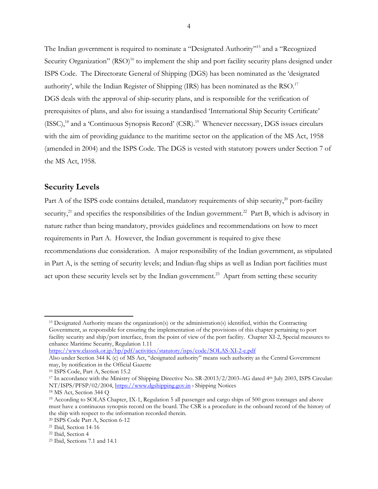The Indian government is required to nominate a "Designated Authority" <sup>15</sup> and a "Recognized Security Organization" (RSO)<sup>16</sup> to implement the ship and port facility security plans designed under ISPS Code. The Directorate General of Shipping (DGS) has been nominated as the 'designated authority', while the Indian Register of Shipping (IRS) has been nominated as the RSO. $17$ DGS deals with the approval of ship-security plans, and is responsible for the verification of prerequisites of plans, and also for issuing a standardised 'International Ship Security Certificate' (ISSC),<sup>18</sup> and a 'Continuous Synopsis Record' (CSR).<sup>19</sup> Whenever necessary, DGS issues circulars with the aim of providing guidance to the maritime sector on the application of the MS Act, 1958 (amended in 2004) and the ISPS Code. The DGS is vested with statutory powers under Section 7 of the MS Act, 1958.

## **Security Levels**

Part A of the ISPS code contains detailed, mandatory requirements of ship security, $^{20}$  port-facility security,<sup>21</sup> and specifies the responsibilities of the Indian government.<sup>22</sup> Part B, which is advisory in nature rather than being mandatory, provides guidelines and recommendations on how to meet requirements in Part A. However, the Indian government is required to give these recommendations due consideration. A major responsibility of the Indian government, as stipulated in Part A, is the setting of security levels; and Indian-flag ships as well as Indian port facilities must act upon these security levels set by the Indian government.<sup>23</sup> Apart from setting these security

```
https://www.classnk.or.jp/hp/pdf/activities/statutory/isps/code/SOLAS-XI-2-e.pdf
```
<sup>&</sup>lt;sup>15</sup> Designated Authority means the organization(s) or the administration(s) identified, within the Contracting Government, as responsible for ensuring the implementation of the provisions of this chapter pertaining to port facility security and ship/port interface, from the point of view of the port facility. Chapter XI-2, Special measures to enhance Maritime Security, Regulation 1.11

Also under Section 344 K (c) of MS Act, "designated authority" means such authority as the Central Government may, by notification in the Official Gazette

<sup>16</sup> ISPS Code, Part A, Section 15.2

<sup>&</sup>lt;sup>17</sup> In accordance with the Ministry of Shipping Directive No. SR-20013/2/2003-AG dated 4<sup>th</sup> July 2003, ISPS Circular: NT/ISPS/PFSP/02/2004, [https://www.dgshipping.gov.in](https://www.dgshipping.gov.in/) > Shipping Notices

<sup>18</sup> MS Act, Section 344 Q

<sup>19</sup> According to SOLAS Chapter, IX-1, Regulation 5 all passenger and cargo ships of 500 gross tonnages and above must have a continuous synopsis record on the board. The CSR is a procedure in the onboard record of the history of the ship with respect to the information recorded therein.

<sup>20</sup> ISPS Code Part A, Section 6-12

<sup>21</sup> Ibid, Section 14-16

<sup>22</sup> Ibid, Section 4

<sup>23</sup> Ibid, Sections 7.1 and 14.1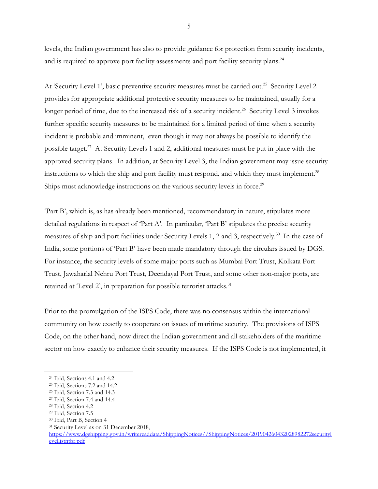levels, the Indian government has also to provide guidance for protection from security incidents, and is required to approve port facility assessments and port facility security plans.<sup>24</sup>

At 'Security Level 1', basic preventive security measures must be carried out.<sup>25</sup> Security Level 2 provides for appropriate additional protective security measures to be maintained, usually for a longer period of time, due to the increased risk of a security incident.<sup>26</sup> Security Level 3 invokes further specific security measures to be maintained for a limited period of time when a security incident is probable and imminent, even though it may not always be possible to identify the possible target.<sup>27</sup> At Security Levels 1 and 2, additional measures must be put in place with the approved security plans. In addition, at Security Level 3, the Indian government may issue security instructions to which the ship and port facility must respond, and which they must implement. $^{28}$ Ships must acknowledge instructions on the various security levels in force.<sup>29</sup>

'Part B', which is, as has already been mentioned, recommendatory in nature, stipulates more detailed regulations in respect of 'Part A'. In particular, 'Part B' stipulates the precise security measures of ship and port facilities under Security Levels 1, 2 and 3, respectively.<sup>30</sup> In the case of India, some portions of 'Part B' have been made mandatory through the circulars issued by DGS. For instance, the security levels of some major ports such as Mumbai Port Trust, Kolkata Port Trust, Jawaharlal Nehru Port Trust, Deendayal Port Trust, and some other non-major ports, are retained at 'Level 2', in preparation for possible terrorist attacks.<sup>31</sup>

Prior to the promulgation of the ISPS Code, there was no consensus within the international community on how exactly to cooperate on issues of maritime security. The provisions of ISPS Code, on the other hand, now direct the Indian government and all stakeholders of the maritime sector on how exactly to enhance their security measures. If the ISPS Code is not implemented, it

<sup>24</sup> Ibid, Sections 4.1 and 4.2

<sup>25</sup> Ibid, Sections 7.2 and 14.2

<sup>26</sup> Ibid, Section 7.3 and 14.3

<sup>27</sup> Ibid, Section 7.4 and 14.4

<sup>28</sup> Ibid, Section 4.2

<sup>29</sup> Ibid, Section 7.5

<sup>30</sup> Ibid, Part B, Section 4

<sup>&</sup>lt;sup>31</sup> Security Level as on 31 December 2018,

[https://www.dgshipping.gov.in/writereaddata/ShippingNotices//ShippingNotices/201904260432028982272securityl](https://www.dgshipping.gov.in/writereaddata/ShippingNotices/ShippingNotices/201904260432028982272securitylevellistntbr.pdf) [evellistntbr.pdf](https://www.dgshipping.gov.in/writereaddata/ShippingNotices/ShippingNotices/201904260432028982272securitylevellistntbr.pdf)